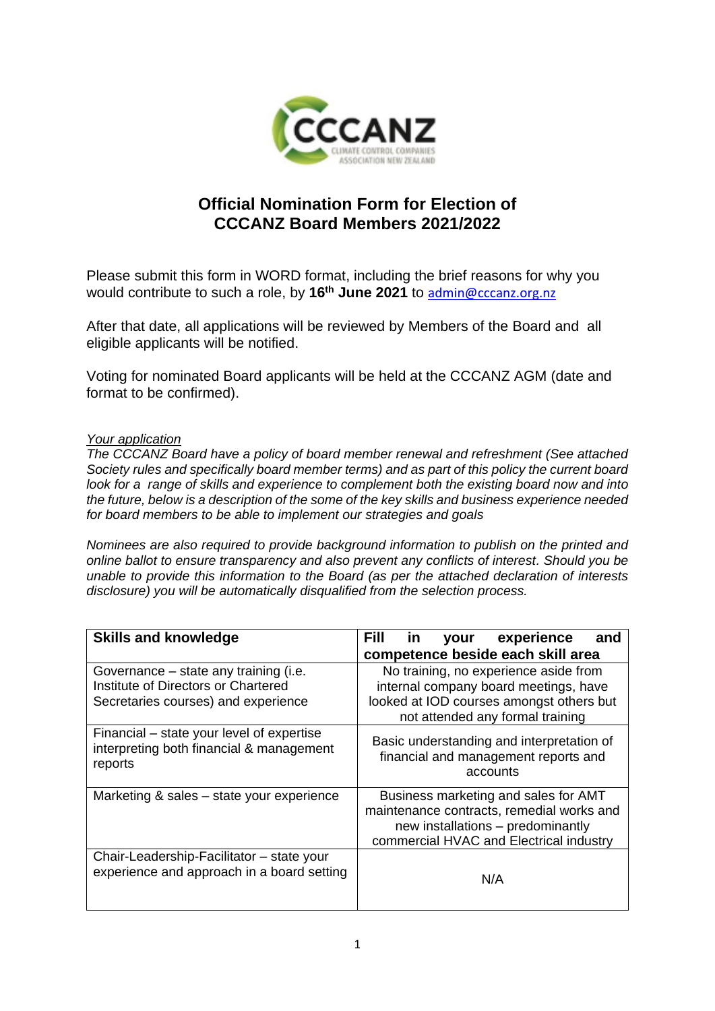

## **Official Nomination Form for Election of CCCANZ Board Members 2021/2022**

Please submit this form in WORD format, including the brief reasons for why you would contribute to such a role, by **16th June 2021** to [admin@cccanz.org.nz](mailto:admin@cccanz.org.nz)

After that date, all applications will be reviewed by Members of the Board and all eligible applicants will be notified.

Voting for nominated Board applicants will be held at the CCCANZ AGM (date and format to be confirmed).

## *Your application*

*The CCCANZ Board have a policy of board member renewal and refreshment (See attached Society rules and specifically board member terms) and as part of this policy the current board look for a range of skills and experience to complement both the existing board now and into the future, below is a description of the some of the key skills and business experience needed for board members to be able to implement our strategies and goals*

*Nominees are also required to provide background information to publish on the printed and online ballot to ensure transparency and also prevent any conflicts of interest. Should you be unable to provide this information to the Board (as per the attached declaration of interests disclosure) you will be automatically disqualified from the selection process.*

| <b>Skills and knowledge</b>                                                                                         | Fill<br>your experience<br>in l<br>and                                                                                                                            |
|---------------------------------------------------------------------------------------------------------------------|-------------------------------------------------------------------------------------------------------------------------------------------------------------------|
|                                                                                                                     | competence beside each skill area                                                                                                                                 |
| Governance – state any training (i.e.<br>Institute of Directors or Chartered<br>Secretaries courses) and experience | No training, no experience aside from<br>internal company board meetings, have<br>looked at IOD courses amongst others but<br>not attended any formal training    |
| Financial – state your level of expertise<br>interpreting both financial & management<br>reports                    | Basic understanding and interpretation of<br>financial and management reports and<br>accounts                                                                     |
| Marketing & sales - state your experience                                                                           | Business marketing and sales for AMT<br>maintenance contracts, remedial works and<br>new installations - predominantly<br>commercial HVAC and Electrical industry |
| Chair-Leadership-Facilitator - state your<br>experience and approach in a board setting                             | N/A                                                                                                                                                               |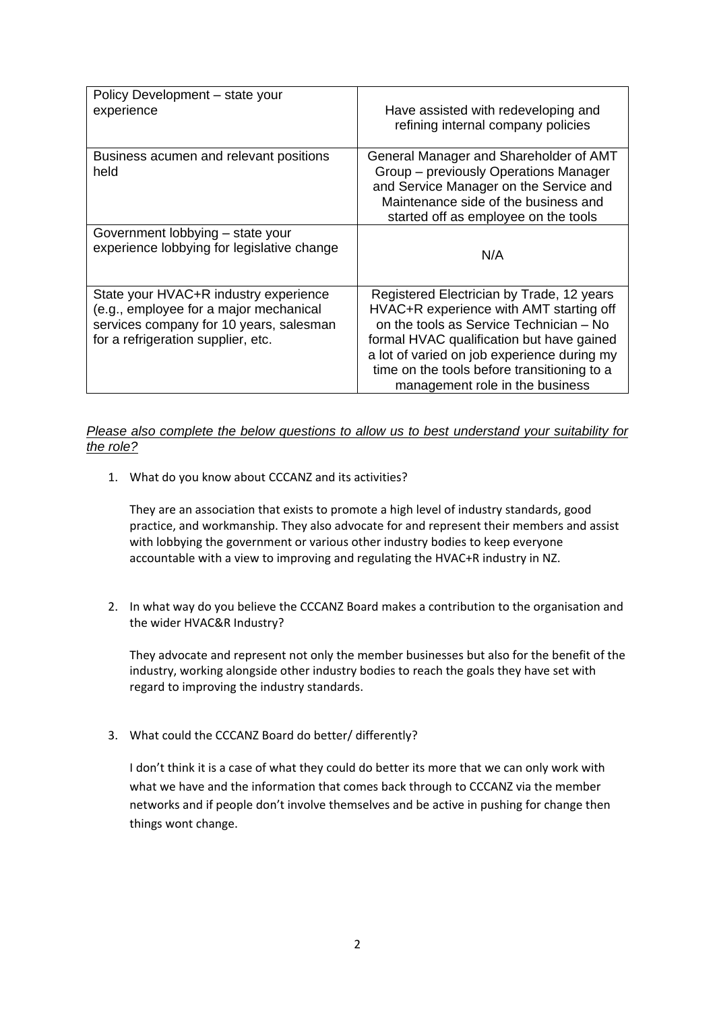| Policy Development - state your<br>experience                                                                                                                    | Have assisted with redeveloping and<br>refining internal company policies                                                                                                                                                                                                                                     |
|------------------------------------------------------------------------------------------------------------------------------------------------------------------|---------------------------------------------------------------------------------------------------------------------------------------------------------------------------------------------------------------------------------------------------------------------------------------------------------------|
| Business acumen and relevant positions<br>held                                                                                                                   | General Manager and Shareholder of AMT<br>Group - previously Operations Manager<br>and Service Manager on the Service and<br>Maintenance side of the business and<br>started off as employee on the tools                                                                                                     |
| Government lobbying – state your<br>experience lobbying for legislative change                                                                                   | N/A                                                                                                                                                                                                                                                                                                           |
| State your HVAC+R industry experience<br>(e.g., employee for a major mechanical<br>services company for 10 years, salesman<br>for a refrigeration supplier, etc. | Registered Electrician by Trade, 12 years<br>HVAC+R experience with AMT starting off<br>on the tools as Service Technician - No<br>formal HVAC qualification but have gained<br>a lot of varied on job experience during my<br>time on the tools before transitioning to a<br>management role in the business |

## *Please also complete the below questions to allow us to best understand your suitability for the role?*

1. What do you know about CCCANZ and its activities?

They are an association that exists to promote a high level of industry standards, good practice, and workmanship. They also advocate for and represent their members and assist with lobbying the government or various other industry bodies to keep everyone accountable with a view to improving and regulating the HVAC+R industry in NZ.

2. In what way do you believe the CCCANZ Board makes a contribution to the organisation and the wider HVAC&R Industry?

They advocate and represent not only the member businesses but also for the benefit of the industry, working alongside other industry bodies to reach the goals they have set with regard to improving the industry standards.

3. What could the CCCANZ Board do better/ differently?

I don't think it is a case of what they could do better its more that we can only work with what we have and the information that comes back through to CCCANZ via the member networks and if people don't involve themselves and be active in pushing for change then things wont change.